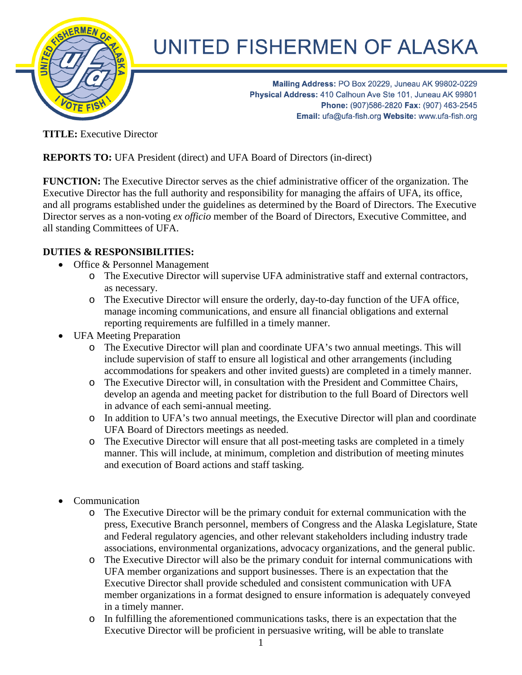

## UNITED FISHERMEN OF ALASKA

Mailing Address: PO Box 20229, Juneau AK 99802-0229 Physical Address: 410 Calhoun Ave Ste 101, Juneau AK 99801 Phone: (907)586-2820 Fax: (907) 463-2545 Email: ufa@ufa-fish.org Website: www.ufa-fish.org

**TITLE:** Executive Director

**REPORTS TO:** UFA President (direct) and UFA Board of Directors (in-direct)

**FUNCTION:** The Executive Director serves as the chief administrative officer of the organization. The Executive Director has the full authority and responsibility for managing the affairs of UFA, its office, and all programs established under the guidelines as determined by the Board of Directors. The Executive Director serves as a non-voting *ex officio* member of the Board of Directors, Executive Committee, and all standing Committees of UFA.

## **DUTIES & RESPONSIBILITIES:**

- Office & Personnel Management
	- o The Executive Director will supervise UFA administrative staff and external contractors, as necessary.
	- o The Executive Director will ensure the orderly, day-to-day function of the UFA office, manage incoming communications, and ensure all financial obligations and external reporting requirements are fulfilled in a timely manner.
- UFA Meeting Preparation
	- o The Executive Director will plan and coordinate UFA's two annual meetings. This will include supervision of staff to ensure all logistical and other arrangements (including accommodations for speakers and other invited guests) are completed in a timely manner.
	- o The Executive Director will, in consultation with the President and Committee Chairs, develop an agenda and meeting packet for distribution to the full Board of Directors well in advance of each semi-annual meeting.
	- o In addition to UFA's two annual meetings, the Executive Director will plan and coordinate UFA Board of Directors meetings as needed.
	- o The Executive Director will ensure that all post-meeting tasks are completed in a timely manner. This will include, at minimum, completion and distribution of meeting minutes and execution of Board actions and staff tasking.
- Communication
	- o The Executive Director will be the primary conduit for external communication with the press, Executive Branch personnel, members of Congress and the Alaska Legislature, State and Federal regulatory agencies, and other relevant stakeholders including industry trade associations, environmental organizations, advocacy organizations, and the general public.
	- o The Executive Director will also be the primary conduit for internal communications with UFA member organizations and support businesses. There is an expectation that the Executive Director shall provide scheduled and consistent communication with UFA member organizations in a format designed to ensure information is adequately conveyed in a timely manner.
	- o In fulfilling the aforementioned communications tasks, there is an expectation that the Executive Director will be proficient in persuasive writing, will be able to translate